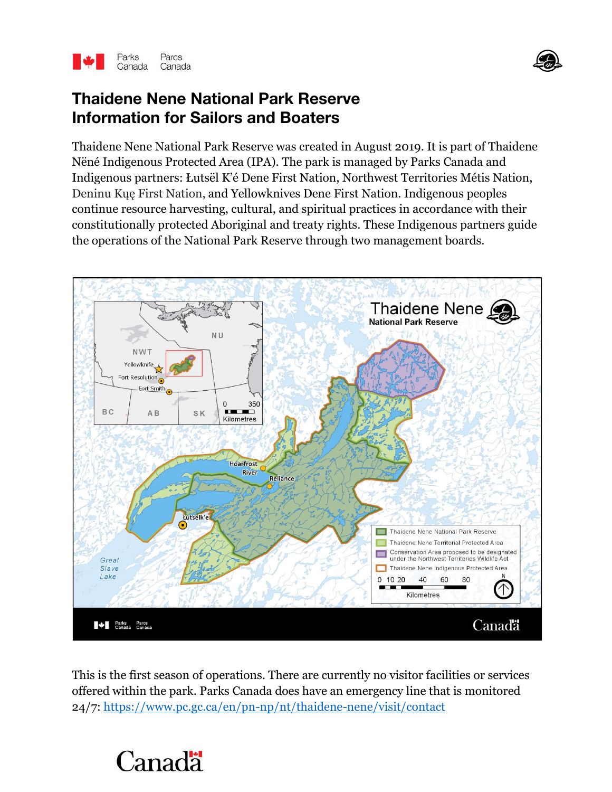



Thaidene Nene National Park Reserve was created in August 2019. It is part of Thaidene Nëné Indigenous Protected Area (IPA). The park is managed by Parks Canada and Indigenous partners: Łutsël K'é Dene First Nation, Northwest Territories Métis Nation, Deninu Kųę First Nation, and Yellowknives Dene First Nation. Indigenous peoples continue resource harvesting, cultural, and spiritual practices in accordance with their constitutionally protected Aboriginal and treaty rights. These Indigenous partners guide the operations of the National Park Reserve through two management boards.



This is the first season of operations. There are currently no visitor facilities or services offered within the park. Parks Canada does have an emergency line that is monitored 24/7: https://www.pc.gc.ca/en/pn-np/nt/thaidene-nene/visit/contact

## Canadä

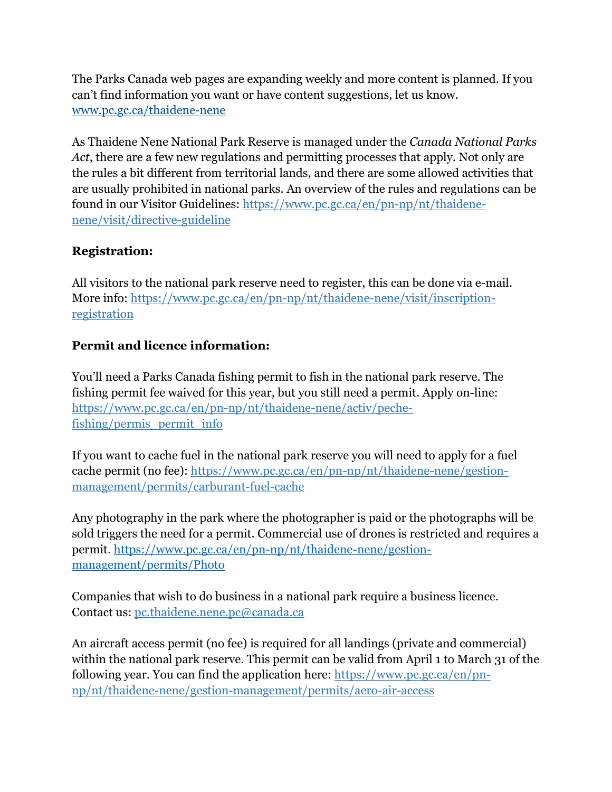The Parks Canada web pages are expanding weekly and more content is planned. If you can't find information you want or have content suggestions, let us know. www.pc.gc.ca/thaidene-nene

As Thaidene Nene National Park Reserve is managed under the *Canada National Parks Act*, there are a few new regulations and permitting processes that apply. Not only are the rules a bit different from territorial lands, and there are some allowed activities that are usually prohibited in national parks. An overview of the rules and regulations can be found in our Visitor Guidelines: https://www.pc.gc.ca/en/pn-np/nt/thaidenenene/visit/directive-guideline

## **Registration:**

All visitors to the national park reserve need to register, this can be done via e-mail. More info: https://www.pc.gc.ca/en/pn-np/nt/thaidene-nene/visit/inscriptionregistration

## **Permit and licence information:**

You'll need a Parks Canada fishing permit to fish in the national park reserve. The fishing permit fee waived for this year, but you still need a permit. Apply on-line: https://www.pc.gc.ca/en/pn-np/nt/thaidene-nene/activ/pechefishing/permis\_permit\_info

If you want to cache fuel in the national park reserve you will need to apply for a fuel cache permit (no fee): https://www.pc.gc.ca/en/pn-np/nt/thaidene-nene/gestionmanagement/permits/carburant-fuel-cache

Any photography in the park where the photographer is paid or the photographs will be sold triggers the need for a permit. Commercial use of drones is restricted and requires a permit. https://www.pc.gc.ca/en/pn-np/nt/thaidene-nene/gestionmanagement/permits/Photo

Companies that wish to do business in a national park require a business licence. Contact us: pc.thaidene.nene.pc@canada.ca

An aircraft access permit (no fee) is required for all landings (private and commercial) within the national park reserve. This permit can be valid from April 1 to March 31 of the following year. You can find the application here: https://www.pc.gc.ca/en/pnnp/nt/thaidene-nene/gestion-management/permits/aero-air-access